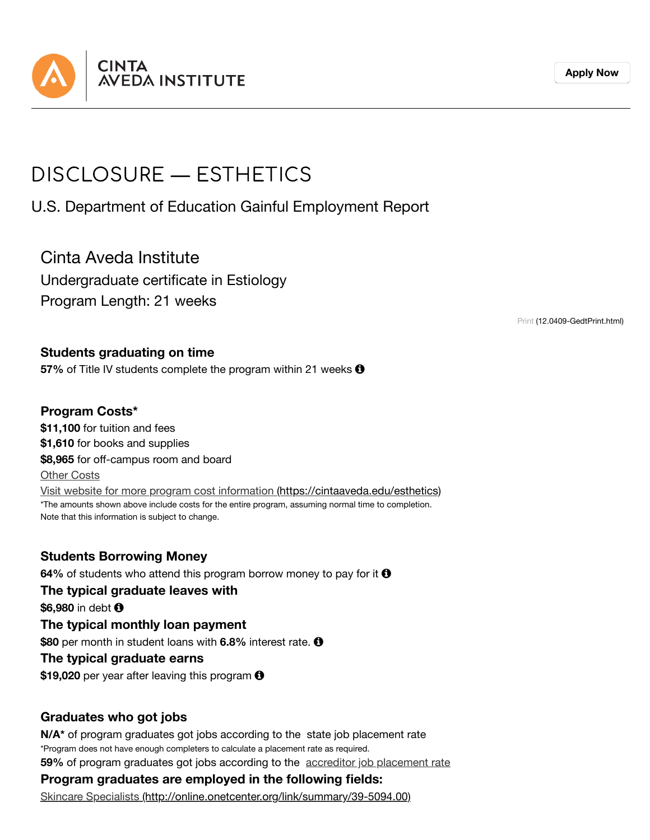

**[Apply](https://cintaaveda.edu/admission-application) Now**

# DISCLOSURE — ESTHETICS

U.S. Department of Education Gainful Employment Report

Cinta Aveda Institute Undergraduate certificate in Estiology Program Length: 21 weeks

Print [\(12.0409-GedtPrint.html\)](https://cintaaveda.edu/disclosures-ge/esthiology/12.0409-GedtPrint.html)

#### **Students graduating on time**

**57%** of Title IV students complete the program within 21 weeks  $\Theta$ 

### **Program Costs\***

**\$11,100** for tuition and fees **\$1,610** for books and supplies **\$8,965** for off-campus room and board Other Costs Visit website for more program cost information [\(https://cintaaveda.edu/esthetics\)](https://cintaaveda.edu/esthetics) \*The amounts shown above include costs for the entire program, assuming normal time to completion. Note that this information is subject to change.

**Students Borrowing Money 64%** of students who attend this program borrow money to pay for it **0 The typical graduate leaves with**

**\$6,980** in debt

**The typical monthly loan payment \$80** per month in student loans with **6.8%** interest rate.

#### **The typical graduate earns**

\$19,020 per year after leaving this program  $\Theta$ 

#### **Graduates who got jobs**

\*Program does not have enough completers to calculate a placement rate as required. **59%** of program graduates got jobs according to the accreditor job placement rate **N/A\*** of program graduates got jobs according to the state job placement rate

## **Program graduates are employed in the following fields:**

Skincare Specialists [\(http://online.onetcenter.org/link/summary/39-5094.00\)](http://online.onetcenter.org/link/summary/39-5094.00)